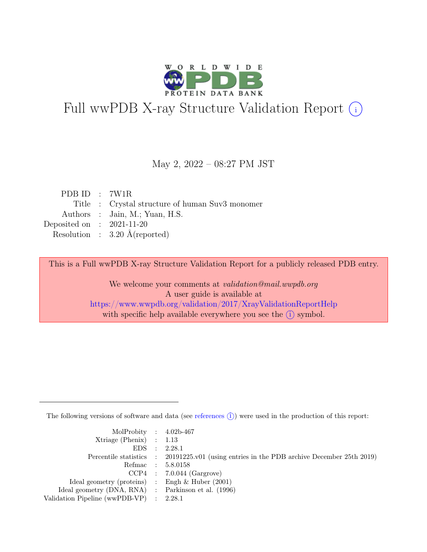

# Full wwPDB X-ray Structure Validation Report  $(i)$

#### May 2, 2022 – 08:27 PM JST

| PDB ID : $7W1R$             |                                                 |
|-----------------------------|-------------------------------------------------|
|                             | Title : Crystal structure of human Suv3 monomer |
|                             | Authors : Jain, M.; Yuan, H.S.                  |
| Deposited on : $2021-11-20$ |                                                 |
|                             | Resolution : $3.20 \text{ Å}$ (reported)        |
|                             |                                                 |

This is a Full wwPDB X-ray Structure Validation Report for a publicly released PDB entry.

We welcome your comments at validation@mail.wwpdb.org A user guide is available at <https://www.wwpdb.org/validation/2017/XrayValidationReportHelp> with specific help available everywhere you see the  $(i)$  symbol.

The following versions of software and data (see [references](https://www.wwpdb.org/validation/2017/XrayValidationReportHelp#references)  $(i)$ ) were used in the production of this report:

| MolProbity : $4.02b-467$                            |                                                                                            |
|-----------------------------------------------------|--------------------------------------------------------------------------------------------|
| $Xtriangle (Phenix)$ : 1.13                         |                                                                                            |
|                                                     | EDS : 2.28.1                                                                               |
|                                                     | Percentile statistics : 20191225.v01 (using entries in the PDB archive December 25th 2019) |
|                                                     | Refmac : 5.8.0158                                                                          |
|                                                     | $CCP4$ : 7.0.044 (Gargrove)                                                                |
| Ideal geometry (proteins) : Engh $\&$ Huber (2001)  |                                                                                            |
| Ideal geometry (DNA, RNA) : Parkinson et al. (1996) |                                                                                            |
| Validation Pipeline (wwPDB-VP) : 2.28.1             |                                                                                            |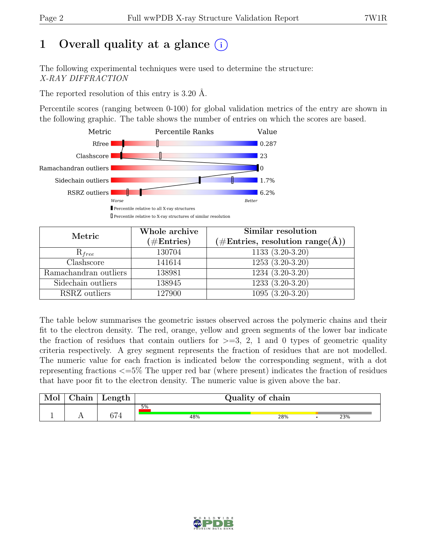# 1 Overall quality at a glance  $(i)$

The following experimental techniques were used to determine the structure: X-RAY DIFFRACTION

The reported resolution of this entry is 3.20 Å.

Percentile scores (ranging between 0-100) for global validation metrics of the entry are shown in the following graphic. The table shows the number of entries on which the scores are based.



| Metric                | Whole archive<br>$(\#Entries)$ | Similar resolution<br>$(\#\text{Entries}, \, \text{resolution range}(\textup{\AA}))$ |
|-----------------------|--------------------------------|--------------------------------------------------------------------------------------|
| $R_{free}$            | 130704                         | $1133(3.20-3.20)$                                                                    |
| Clashscore            | 141614                         | $1253(3.20-3.20)$                                                                    |
| Ramachandran outliers | 138981                         | $1234(3.20-3.20)$                                                                    |
| Sidechain outliers    | 138945                         | 1233 (3.20-3.20)                                                                     |
| RSRZ outliers         | 127900                         | $1095(3.20-3.20)$                                                                    |

The table below summarises the geometric issues observed across the polymeric chains and their fit to the electron density. The red, orange, yellow and green segments of the lower bar indicate the fraction of residues that contain outliers for  $>=$  3, 2, 1 and 0 types of geometric quality criteria respectively. A grey segment represents the fraction of residues that are not modelled. The numeric value for each fraction is indicated below the corresponding segment, with a dot representing fractions <=5% The upper red bar (where present) indicates the fraction of residues that have poor fit to the electron density. The numeric value is given above the bar.

| hain | Length                      |     | Quality of chain |     |
|------|-----------------------------|-----|------------------|-----|
|      |                             | 5%  |                  |     |
| . .  | $\sim$ $\sim$ $\sim$<br>914 | 48% | 28%              | 23% |

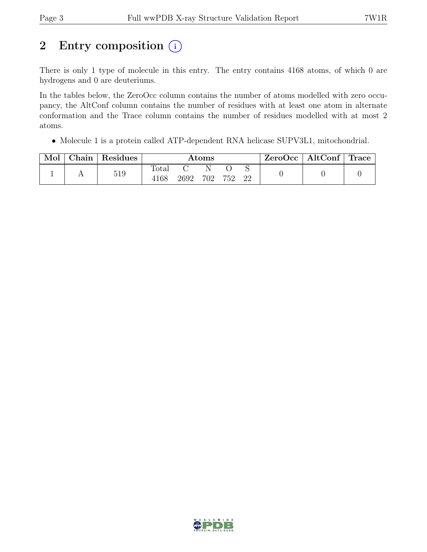# 2 Entry composition  $(i)$

There is only 1 type of molecule in this entry. The entry contains 4168 atoms, of which 0 are hydrogens and 0 are deuteriums.

In the tables below, the ZeroOcc column contains the number of atoms modelled with zero occupancy, the AltConf column contains the number of residues with at least one atom in alternate conformation and the Trace column contains the number of residues modelled with at most 2 atoms.

• Molecule 1 is a protein called ATP-dependent RNA helicase SUPV3L1, mitochondrial.

| Mol | ${\rm Chain}$ | Residues |                        |      | $\rm{Atoms}$ |     |    | ZeroOcc | $\mid$ AltConf $\mid$ Trace |  |
|-----|---------------|----------|------------------------|------|--------------|-----|----|---------|-----------------------------|--|
|     |               | 519      | $\text{Total}$<br>4168 | 2692 | 702          | 752 | 22 |         |                             |  |

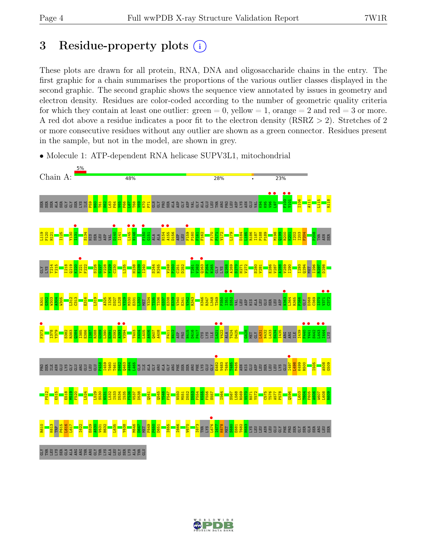## 3 Residue-property plots  $(i)$

These plots are drawn for all protein, RNA, DNA and oligosaccharide chains in the entry. The first graphic for a chain summarises the proportions of the various outlier classes displayed in the second graphic. The second graphic shows the sequence view annotated by issues in geometry and electron density. Residues are color-coded according to the number of geometric quality criteria for which they contain at least one outlier:  $green = 0$ , yellow  $= 1$ , orange  $= 2$  and red  $= 3$  or more. A red dot above a residue indicates a poor fit to the electron density (RSRZ > 2). Stretches of 2 or more consecutive residues without any outlier are shown as a green connector. Residues present in the sample, but not in the model, are shown in grey.





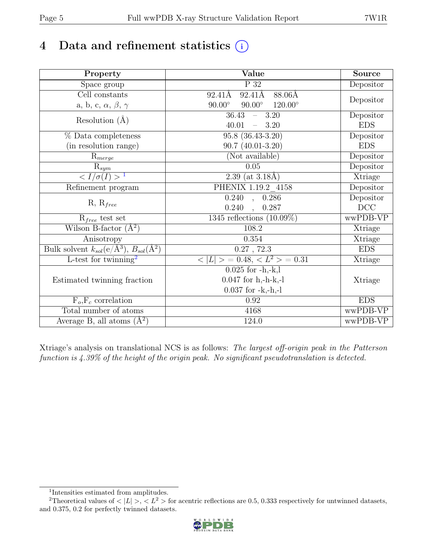# 4 Data and refinement statistics  $(i)$

| Property                                                             | Value                                              | <b>Source</b> |
|----------------------------------------------------------------------|----------------------------------------------------|---------------|
| Space group                                                          | P 32                                               | Depositor     |
| Cell constants                                                       | $92.41\text{\AA}$<br>92.41Å<br>88.06Å              |               |
| a, b, c, $\alpha$ , $\beta$ , $\gamma$                               | $90.00^\circ$<br>$90.00^\circ$<br>$120.00^{\circ}$ | Depositor     |
| Resolution $(A)$                                                     | 36.43<br>$-3.20$                                   | Depositor     |
|                                                                      | 40.01<br>3.20                                      | <b>EDS</b>    |
| % Data completeness                                                  | $95.8(36.43-3.20)$                                 | Depositor     |
| (in resolution range)                                                | $90.7(40.01-3.20)$                                 | <b>EDS</b>    |
| $R_{merge}$                                                          | (Not available)                                    | Depositor     |
| $\mathbf{R}_{\underline{sym}}$                                       | 0.05                                               | Depositor     |
| $\sqrt{I/\sigma(I)} > 1$                                             | $2.39$ (at 3.18Å)                                  | Xtriage       |
| Refinement program                                                   | PHENIX 1.19.2 4158                                 | Depositor     |
| $R, R_{free}$                                                        | $\overline{0.240}$ ,<br>0.286                      | Depositor     |
|                                                                      | 0.240<br>, 0.287                                   | $DCC$         |
| $R_{free}$ test set                                                  | 1345 reflections $(10.09\%)$                       | wwPDB-VP      |
| Wilson B-factor $(A^2)$                                              | 108.2                                              | Xtriage       |
| Anisotropy                                                           | 0.354                                              | Xtriage       |
| Bulk solvent $k_{sol}(e/\mathring{A}^3)$ , $B_{sol}(\mathring{A}^2)$ | $0.27$ , $72.3$                                    | <b>EDS</b>    |
| L-test for twinning <sup>2</sup>                                     | $< L >$ = 0.48, $< L2$ > = 0.31                    | Xtriage       |
|                                                                      | $0.025$ for $-h,-k,l$                              |               |
| Estimated twinning fraction                                          | $0.047$ for h,-h-k,-l                              | Xtriage       |
|                                                                      | $0.037$ for $-k,-h,-l$                             |               |
| $F_o, F_c$ correlation                                               | 0.92                                               | <b>EDS</b>    |
| Total number of atoms                                                | 4168                                               | wwPDB-VP      |
| Average B, all atoms $(A^2)$                                         | 124.0                                              | wwPDB-VP      |

Xtriage's analysis on translational NCS is as follows: The largest off-origin peak in the Patterson function is 4.39% of the height of the origin peak. No significant pseudotranslation is detected.

<sup>&</sup>lt;sup>2</sup>Theoretical values of  $\langle |L| \rangle$ ,  $\langle L^2 \rangle$  for acentric reflections are 0.5, 0.333 respectively for untwinned datasets, and 0.375, 0.2 for perfectly twinned datasets.



<span id="page-4-1"></span><span id="page-4-0"></span><sup>1</sup> Intensities estimated from amplitudes.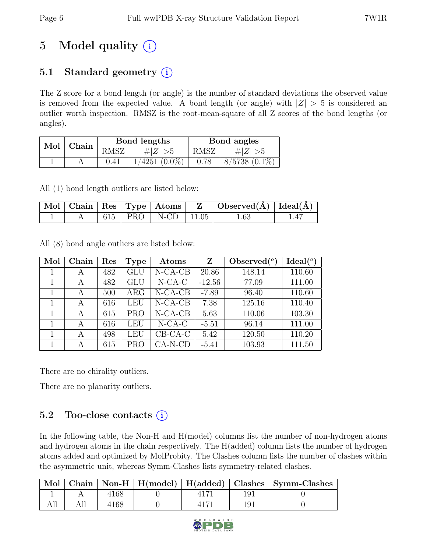# 5 Model quality  $(i)$

## 5.1 Standard geometry  $(i)$

The Z score for a bond length (or angle) is the number of standard deviations the observed value is removed from the expected value. A bond length (or angle) with  $|Z| > 5$  is considered an outlier worth inspection. RMSZ is the root-mean-square of all Z scores of the bond lengths (or angles).

| $Mol$   Chain |      | Bond lengths       | Bond angles |                   |  |
|---------------|------|--------------------|-------------|-------------------|--|
|               | RMSZ | $\# Z  > 5$        | RMSZ        | # $ Z  > 5$       |  |
|               |      | $1/4251$ $(0.0\%)$ | 0.78        | $8/5738$ $(0.1\%$ |  |

All (1) bond length outliers are listed below:

|  |  |                          | $\mathbb{Z}$ Mol   Chain   Res   Type   Atoms   Z   Observed $(\AA)$   Ideal $(\AA)$ |  |
|--|--|--------------------------|--------------------------------------------------------------------------------------|--|
|  |  | 615   PRO   N-CD   11.05 | $1.63\,$                                                                             |  |

All (8) bond angle outliers are listed below:

| Mol | Chain | Res | Type       | Atoms     | Z        | Observed $(°)$ | Ideal $(°)$ |
|-----|-------|-----|------------|-----------|----------|----------------|-------------|
|     | А     | 482 | GLU        | $N-CA-CB$ | 20.86    | 148.14         | 110.60      |
|     | А     | 482 | GLU        | $N$ -CA-C | $-12.56$ | 77.09          | 111.00      |
|     | А     | 500 | $\rm{ARG}$ | $N-CA-CB$ | $-7.89$  | 96.40          | 110.60      |
|     | A     | 616 | LEU        | $N-CA-CB$ | 7.38     | 125.16         | 110.40      |
|     | А     | 615 | <b>PRO</b> | $N-CA-CB$ | 5.63     | 110.06         | 103.30      |
|     | A     | 616 | LEU        | $N$ -CA-C | $-5.51$  | 96.14          | 111.00      |
|     | А     | 498 | LEU        | $CB-CA-C$ | 5.42     | 120.50         | 110.20      |
|     | A     | 615 | PRO        | $CA-N-CD$ | $-5.41$  | 103.93         | 111.50      |

There are no chirality outliers.

There are no planarity outliers.

### 5.2 Too-close contacts  $(i)$

In the following table, the Non-H and H(model) columns list the number of non-hydrogen atoms and hydrogen atoms in the chain respectively. The H(added) column lists the number of hydrogen atoms added and optimized by MolProbity. The Clashes column lists the number of clashes within the asymmetric unit, whereas Symm-Clashes lists symmetry-related clashes.

|  |     |  | Mol   Chain   Non-H   $H(model)$   $H(added)$   Clashes   Symm-Clashes |
|--|-----|--|------------------------------------------------------------------------|
|  |     |  |                                                                        |
|  | 168 |  |                                                                        |

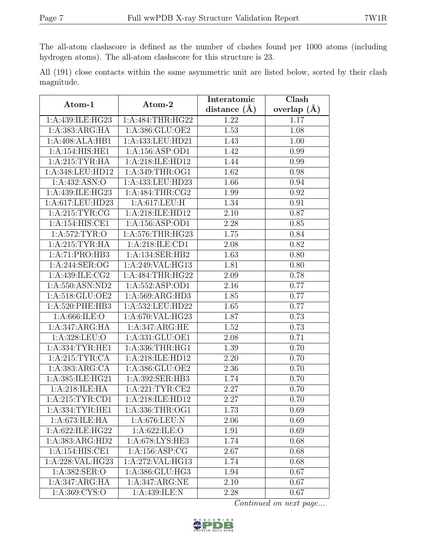The all-atom clashscore is defined as the number of clashes found per 1000 atoms (including hydrogen atoms). The all-atom clashscore for this structure is 23.

|            |  |  | All (191) close contacts within the same asymmetric unit are listed below, sorted by their clash |  |  |  |  |
|------------|--|--|--------------------------------------------------------------------------------------------------|--|--|--|--|
| magnitude. |  |  |                                                                                                  |  |  |  |  |

| Atom-1              | Atom-2                               | Interatomic       | Clash         |  |  |
|---------------------|--------------------------------------|-------------------|---------------|--|--|
|                     |                                      | distance $(A)$    | overlap $(A)$ |  |  |
| 1:A:439:ILE:HG23    | 1:A:484:THR:HG22                     | 1.22              | 1.17          |  |  |
| 1:A:383:ARG:HA      | 1:A:386:GLU:OE2                      | 1.53              | 1.08          |  |  |
| 1:A:408:ALA:HB1     | 1:A:433:LEU:HD21                     | 1.43              | 1.00          |  |  |
| 1:A:154:HIS:HE1     | 1: A: 156: ASP: OD1                  | 1.42              | 0.99          |  |  |
| 1: A:215:TYR:HA     | 1:A:218:ILE:HD12                     | 1.44              | 0.99          |  |  |
| 1:A:348:LEU:HD12    | 1: A:349:THR:OG1                     | 1.62              | 0.98          |  |  |
| 1:A:432:ASN:O       | 1:A:433:LEU:HD23                     | 1.66              | 0.94          |  |  |
| 1:A:439:ILE:HG23    | 1: A:484:THR:CG2                     | 1.99              | 0.92          |  |  |
| 1:A:617:LEU:HD23    | 1:A:617:LEU:H                        | 1.34              | 0.91          |  |  |
| 1: A:215: TYR: CG   | 1:A:218:ILE:HD12                     | 2.10              | 0.87          |  |  |
| 1:A:154:HIS:CE1     | 1: A: 156: ASP: OD1                  | 2.28              | 0.85          |  |  |
| 1: A:572: TYR:O     | 1:A:576:THR:HG23                     | 1.75              | 0.84          |  |  |
| 1:A:215:TYR:HA      | 1:A:218:ILE:CD1                      | 2.08              | 0.82          |  |  |
| 1:A:71:PRO:HB3      | 1: A: 134: SER: HB2                  | 1.63              | 0.80          |  |  |
| 1:A:244:SER:OG      | $1:A:249:\overline{VAL}:HG13$        | 1.81              | 0.80          |  |  |
| 1: A: 439: ILE: CG2 | 1: A:484:THR:HG22                    | 2.09              | 0.78          |  |  |
| 1:A:550:ASN:ND2     | 1:A:552:ASP:OD1                      | 2.16              | 0.77          |  |  |
| 1:A:518:GLU:OE2     | 1:A:569:ARG:HD3                      | 1.85              | 0.77          |  |  |
| 1:A:520:PHE:HB3     | $1:\overline{A}:532:\text{LEU}:HD22$ | 1.65              | 0.77          |  |  |
| 1: A:666: ILE: O    | 1:A:670:VAL:HG23                     | 1.87              | 0.73          |  |  |
| 1:A:347:ARG:HA      | 1:A:347:ARG:HE                       | 1.52              | 0.73          |  |  |
| 1: A:328: LEU:O     | 1:A:331:GLU:OE1                      | $\overline{2.08}$ | 0.71          |  |  |
| 1: A: 334: TYR: HE1 | 1: A: 336: THR: HG1                  | 1.39              | 0.70          |  |  |
| 1: A:215: TYR: CA   | 1:A:218:ILE:HD12                     | 2.20              | 0.70          |  |  |
| 1:A:383:ARG:CA      | 1:A:386:GLU:OE2                      | 2.36              | 0.70          |  |  |
| 1: A:385: ILE: HG21 | 1:A:392:SER:HB3                      | 1.74              | 0.70          |  |  |
| 1:A:218:ILE:HA      | 1:A:221:TYR:CE2                      | 2.27              | 0.70          |  |  |
| $1:$ A:215:TYR:CD1  | 1:A:218:ILE:HD12                     | $\overline{2}.27$ | 0.70          |  |  |
| 1: A: 334: TYR: HE1 | 1: A:336:THR:OG1                     | 1.73              | 0.69          |  |  |
| 1:A:673:ILE:HA      | 1:A:676:LEU:N                        | 2.06              | 0.69          |  |  |
| 1:A:622:ILE:HG22    | 1: A:622: ILE: O                     | 1.91              | 0.69          |  |  |
| 1:A:383:ARG:HD2     | 1:A:678:LYS:HE3                      | 1.74              | 0.68          |  |  |
| 1:A:154:HIS:CE1     | 1: A: 156: ASP: CG                   | 2.67              | 0.68          |  |  |
| 1:A:228:VAL:HG23    | 1:A:272:VAL:HG13                     | 1.74              | 0.68          |  |  |
| 1:A:382:SER:O       | 1:A:386:GLU:HG3                      | 1.94              | 0.67          |  |  |
| 1:A:347:ARG:HA      | 1:A:347:ARG:NE                       | 2.10              | 0.67          |  |  |
| 1: A:369:CYS:O      | 1:A:439:ILE:N                        | 2.28              | 0.67          |  |  |

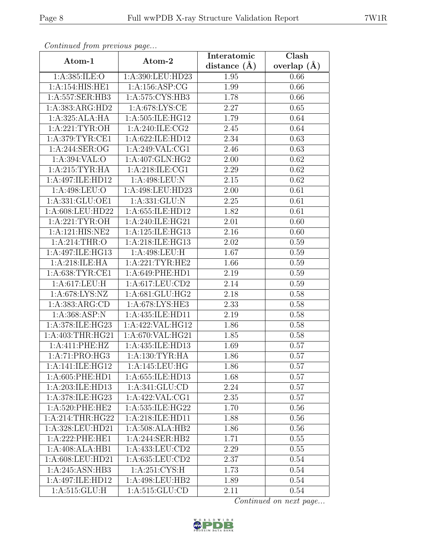| Continuea from previous page |                             | Interatomic    | Clash         |
|------------------------------|-----------------------------|----------------|---------------|
| Atom-1                       | Atom-2                      | distance $(A)$ | overlap $(A)$ |
| 1:A:385:ILE:O                | 1:A:390:LEU:HD23            | 1.95           | 0.66          |
| 1: A:154: HIS: HE1           | 1:A:156:ASP:CG              | 1.99           | 0.66          |
| 1:A:557:SER:HB3              | 1:A:575:CYS:HB3             | 1.78           | 0.66          |
| 1:A:383:ARG:HD2              | 1: A:678: LYS: CE           | 2.27           | 0.65          |
| 1:A:325:ALA:HA               | 1:A:505:ILE:HG12            | 1.79           | 0.64          |
| 1:A:221:TYR:OH               | 1:A:240:ILE:CG2             | 2.45           | 0.64          |
| 1: A:379: TYR: CE1           | 1:A:622:ILE:HD12            | 2.34           | 0.63          |
| 1: A:244: SER:OG             | 1:A:249:VAL:CG1             | 2.46           | 0.63          |
| 1: A:394: VAL:O              | 1:A:407:GLN:HG2             | 2.00           | 0.62          |
| 1: A:215: TYR: HA            | 1:A:218:ILE:CG1             | 2.29           | 0.62          |
| 1:A:497:ILE:HD12             | 1:A:498:LEU:N               | 2.15           | 0.62          |
| 1: A:498:LEU:O               | 1:A:498:LEU:HD23            | 2.00           | 0.61          |
| 1:A:331:GLU:OE1              | 1:A:331:GLU:N               | 2.25           | 0.61          |
| 1:A:608:LEU:HD22             | 1:A:655:ILE:HD12            | 1.82           | 0.61          |
| 1:A:221:TYR:OH               | 1:A:240:ILE:HG21            | 2.01           | 0.60          |
| 1:A:121:HIS:NE2              | 1: A:125: ILE: HG13         | 2.16           | 0.60          |
| 1: A:214:THR:O               | 1:A:218:ILE:HG13            | 2.02           | 0.59          |
| 1:A:497:ILE:HG13             | 1:A:498:LEU:H               | 1.67           | 0.59          |
| 1:A:218:ILE:HA               | 1: A:221:TYR:HE2            | 1.66           | 0.59          |
| 1: A:638:TYR:CE1             | 1:A:649:PHE:HD1             | 2.19           | 0.59          |
| 1:A:617:LEU:H                | 1:A:617:LEU:CD2             | 2.14           | 0.59          |
| 1:A:678:LYS:NZ               | 1:A:681:GLU:HG2             | 2.18           | 0.58          |
| 1:A:383:ARG:CD               | 1:A:678:LYS:HE3             | 2.33           | 0.58          |
| 1:A:368:ASP:N                | 1:A:435:ILE:HD11            | 2.19           | 0.58          |
| 1:A:378:ILE:HG23             | 1:A:422:VAL:HG12            | 1.86           | 0.58          |
| 1:A:403:THR:HG21             | 1:A:670:VAL:HG21            | 1.85           | 0.58          |
| 1:A:411:PHE:HZ               | 1:A:435:ILE:HD13            | 1.69           | 0.57          |
| 1:A:71:PRO:HG3               | 1: A: 130: TYR: HA          | 1.86           | 0.57          |
| 1:A:141:ILE:HG12             | 1:A:145:LEU:HG              | 1.86           | 0.57          |
| 1: A:605: PHE:HD1            | 1:A:655:ILE:HD13            | 1.68           | 0.57          |
| 1:A:203:ILE:HD13             | 1: A:341: GLU:CD            | 2.24           | 0.57          |
| 1:A:378:ILE:HG23             | 1:A:422:VAL:CG1             | 2.35           | 0.57          |
| 1: A:520: PHE:HE2            | 1: A:535: ILE: HG22         | 1.70           | 0.56          |
| 1:A:214:THR:HG22             | 1:A:218:ILE:HD11            | 1.88           | 0.56          |
| 1: A: 328: LEU: HD21         | 1:A:508:ALA:HB2             | 1.86           | 0.56          |
| 1:A:222:PHE:HE1              | 1:A:244:SER:HB2             | 1.71           | 0.55          |
| 1:A:408:ALA:HB1              | 1:A:433:LEU:CD2             | 2.29           | 0.55          |
| 1:A:608:LEU:HD21             | 1:A:635:LEU:CD2             | 2.37           | 0.54          |
| 1:A:245:ASN:HB3              | $1: A:251:CYS.\overline{H}$ | 1.73           | 0.54          |
| 1:A:497:ILE:HD12             | 1:A:498:LEU:HB2             | 1.89           | 0.54          |
| 1: A:515: GLU: H             | 1:A:515:GLU:CD              | 2.11           | 0.54          |

Continued from previous page.

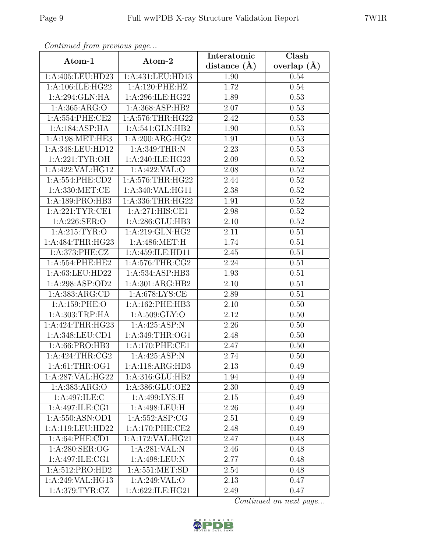| Continuea from previous page | Interatomic                                  | Clash          |                 |
|------------------------------|----------------------------------------------|----------------|-----------------|
| Atom-1                       | Atom-2                                       | distance $(A)$ | overlap $(\AA)$ |
| 1:A:405:LEU:HD23             | 1:A:431:LEU:HD13                             | 1.90           | 0.54            |
| 1:A:106:ILE:HG22             | 1:A:120:PHE:HZ                               | 1.72           | 0.54            |
| 1:A:294:GLN:HA               | 1:A:296:ILE:HG22                             | 1.89           | 0.53            |
| 1:A:365:ARG:O                | 1:A:368:ASP:HB2                              | 2.07           | 0.53            |
| 1: A:554:PHE:CE2             | 1: A:576:THR:HG22                            | 2.42           | 0.53            |
| 1:A:184:ASP:HA               | 1:A:541:GLN:HB2                              | 1.90           | 0.53            |
| 1:A:198:MET:HE3              | 1:A:200:ARG:HG2                              | 1.91           | 0.53            |
| 1:A:348:LEU:HD12             | 1:A:349:THR:N                                | 2.23           | 0.53            |
| 1: A:221:TYR:OH              | 1: A:240: ILE: HG23                          | 2.09           | 0.52            |
| 1:A:422:VAL:HG12             | 1:A:422:VAL:O                                | 2.08           | 0.52            |
| 1: A:554: PHE:CD2            | 1: A:576:THR:HG22                            | 2.44           | 0.52            |
| 1: A: 330: MET:CE            | 1:A:340:VAL:HG11                             | 2.38           | 0.52            |
| 1:A:189:PRO:HB3              | 1: A: 336: THR: HG22                         | 1.91           | 0.52            |
| 1: A:221:TYR:CE1             | 1:A:271:HIS:CE1                              | 2.98           | 0.52            |
| 1: A:226: SER:O              | 1:A:286:GLU:HB3                              | 2.10           | 0.52            |
| 1: A:215: TYR:O              | 1:A:219:GLN:HG2                              | 2.11           | 0.51            |
| 1: A:484:THR:HG23            | 1: A:486: MET:H                              | 1.74           | 0.51            |
| 1:A:373:PHE:CZ               | 1:A:459:ILE:HD11                             | 2.45           | 0.51            |
| 1:A:554:PHE:HE2              | 1:A:576:THR:CG2                              | 2.24           | 0.51            |
| 1:A:63:LEU:HD22              | 1:A:534:ASP:HB3                              | 1.93           | 0.51            |
| 1:A:298:ASP:OD2              | 1:A:301:ARG:HB2                              | 2.10           | 0.51            |
| 1:A:383:ARG:CD               | $1: A:678: \overline{\text{LYS}: \text{CE}}$ | 2.89           | 0.51            |
| 1:A:159:PHE:O                | 1:A:162:PHE:HB3                              | 2.10           | 0.50            |
| 1:A:303:TRP:HA               | 1: A:509: GLY:O                              | 2.12           | 0.50            |
| 1: A:424:THR:HG23            | 1:A:425:ASP:N                                | 2.26           | 0.50            |
| 1:A:348:LEU:CD1              | 1:A:349:THR:OG1                              | 2.48           | 0.50            |
| 1:A:66:PRO:HB3               | 1:A:170:PHE:CE1                              | 2.47           | 0.50            |
| 1:A:424:THR:CG2              | 1:A:425:ASP:N                                | 2.74           | 0.50            |
| 1: A:61:THR:OG1              | 1:A:118:ARG:HD3                              | 2.13           | 0.49            |
| 1:A:287:VAL:HG22             | 1: A: 316: GLU: HB2                          | 1.94           | 0.49            |
| 1:A:383:ARG:O                | 1:A:386:GLU:OE2                              | 2.30           | 0.49            |
| 1:A:497:ILE:C                | 1:A:499:LYS:H                                | 2.15           | 0.49            |
| 1:A:497:ILE:CG1              | 1:A:498:LEU:H                                | 2.26           | 0.49            |
| 1:A:550:ASN:OD1              | 1: A: 552: ASP: CG                           | 2.51           | 0.49            |
| 1:A:119:LEU:HD22             | 1: A:170: PHE:CE2                            | 2.48           | 0.49            |
| 1:A:64:PHE:CD1               | 1:A:172:VAL:HG21                             | 2.47           | 0.48            |
| 1: A:280: SER:OG             | 1:A:281:VAL:N                                | 2.46           | 0.48            |
| 1:A:497:ILE:CG1              | 1:A:498:LEU:N                                | 2.77           | 0.48            |
| 1:A:512:PRO:HD2              | 1: A:551: MET:SD                             | 2.54           | 0.48            |
| 1:A:249:VAL:HG13             | 1:A:249:VAL:O                                | 2.13           | 0.47            |
| 1: A:379: TYR: CZ            | 1:A:622:ILE:HG21                             | 2.49           | 0.47            |

Continued from previous page.

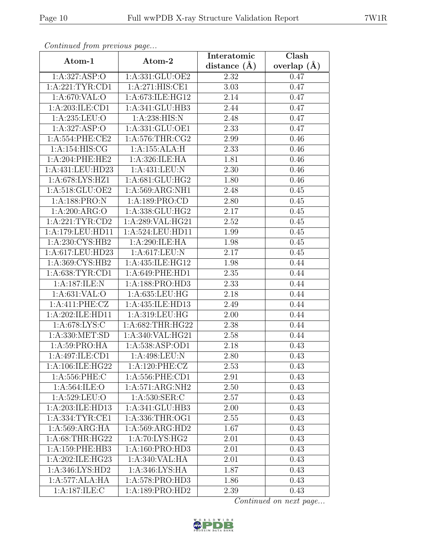| Continued from previous page |                             | Interatomic       | Clash           |
|------------------------------|-----------------------------|-------------------|-----------------|
| Atom-1                       | Atom-2                      | distance $(\AA)$  | overlap $(\AA)$ |
| 1:A:327:ASP:O                | 1:A:331:GLU:OE2             | 2.32              | 0.47            |
| 1:A:221:TYR:CD1              | 1:A:271:HIS:CE1             | 3.03              | 0.47            |
| 1: A:670: VAL:O              | 1:A:673:ILE:HG12            | 2.14              | 0.47            |
| 1:A:203:ILE:CD1              | 1:A:341:GLU:HB3             | 2.44              | 0.47            |
| 1:A:235:LEU:O                | 1: A:238: HIS:N             | 2.48              | 0.47            |
| 1: A:327: ASP:O              | 1:A:331:GLU:OE1             | 2.33              | 0.47            |
| 1:A:554:PHE:CE2              | 1:A:576:THR:CG2             | 2.99              | 0.46            |
| 1:A:154:HIS:CG               | 1:A:155:ALA:H               | 2.33              | 0.46            |
| $1: A:204:$ PHE:HE2          | 1:A:326:ILE:HA              | 1.81              | 0.46            |
| 1:A:431:LEU:HD23             | 1:A:431:LEU:N               | 2.30              | 0.46            |
| 1:A:678:LYS:HZ1              | 1:A:681:GLU:HG2             | 1.80              | 0.46            |
| 1:A:518:GLU:OE2              | 1:A:569:ARG:NH1             | 2.48              | 0.45            |
| 1:A:188:PRO:N                | 1:A:189:PRO:CD              | 2.80              | 0.45            |
| 1: A:200: ARG:O              | 1:A:338:GLU:HG2             | 2.17              | 0.45            |
| 1:A:221:TYR:CD2              | 1:A:289:VAL:HG21            | 2.52              | 0.45            |
| 1:A:179:LEU:HD11             | 1:A:524:LEU:HD11            | 1.99              | 0.45            |
| 1:A:230:CYS:HB2              | 1:A:290:ILE:HA              | 1.98              | 0.45            |
| 1:A:617:LEU:HD23             | 1:A:617:LEU:N               | 2.17              | 0.45            |
| 1:A:369:CYS:HB2              | 1:A:435:ILE:HG12            | 1.98              | 0.44            |
| 1: A:638: TYR: CD1           | 1: A:649: PHE:HD1           | 2.35              | 0.44            |
| 1:A:187:ILE:N                | 1:A:188:PRO:HD3             | 2.33              | 0.44            |
| 1: A:631: VAL:O              | 1:A:635:LEU:HG              | 2.18              | 0.44            |
| 1:A:411:PHE:CZ               | 1:A:435:ILE:HD13            | 2.49              | 0.44            |
| 1:A:202:ILE:HD11             | 1:A:319:LEU:HG              | 2.00              | 0.44            |
| 1:A:678:LYS:C                | 1:A:682:THR:HG22            | 2.38              | 0.44            |
| 1:A:330:MET:SD               | 1:A:340:VAL:HG21            | $\overline{2.58}$ | 0.44            |
| 1: A:59: PRO:HA              | $1:$ A:538:ASP:OD1          | 2.18              | 0.43            |
| 1:A:497:ILE:CD1              | 1:A:498:LEU:N               | 2.80              | 0.43            |
| 1:A:106:ILE:HG22             | 1:A:120:PHE:CZ              | 2.53              | 0.43            |
| 1:A:556:PHE:C                | 1: A: 556: PHE: CD1         | 2.91              | 0.43            |
| 1: A:564: ILE: O             | 1:A:571:ARG:NH2             | 2.50              | 0.43            |
| 1:A:529:LEU:O                | 1: A:530: SER: C            | 2.57              | 0.43            |
| 1:A:203:ILE:HD13             | 1:A:341:GLU:HB3             | 2.00              | 0.43            |
| 1:A:334:TYR:CE1              | 1:A:336:THR:OG1             | 2.55              | 0.43            |
| 1: A:569: ARG: HA            | 1:A:569:ARG:HD2             | 1.67              | 0.43            |
| 1: A:68:THR:HG22             | $1:A:\overline{70:LYS:HG2}$ | 2.01              | 0.43            |
| 1:A:159:PHE:HB3              | 1:A:160:PRO:HD3             | 2.01              | 0.43            |
| 1:A:202:ILE:HG23             | 1:A:340:VAL:HA              | 2.01              | 0.43            |
| 1: A:346: LYS: HD2           | 1:A:346:LYS:HA              | 1.87              | 0.43            |
| 1:A:577:ALA:HA               | 1:A:578:PRO:HD3             | 1.86              | 0.43            |
| 1:A:187:ILE:C                | 1:A:189:PRO:HD2             | 2.39              | 0.43            |

Continued from previous page.

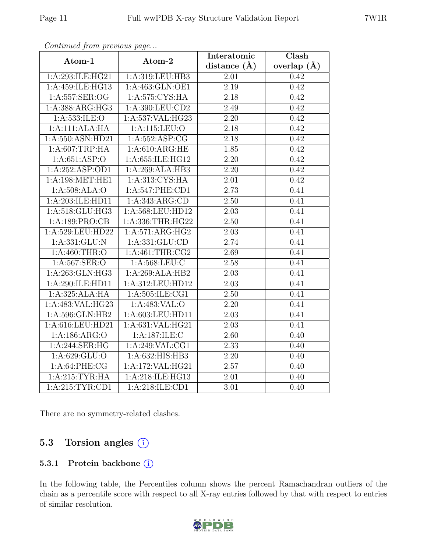| $\mathbf{r}$                 | $\mathbf{r} \sim$   | Interatomic       | Clash           |
|------------------------------|---------------------|-------------------|-----------------|
| Atom-1                       | Atom-2              | distance $(\AA)$  | overlap $(\AA)$ |
| 1:A:293:ILE:HG21             | 1:A:319:LEU:HB3     | 2.01              | 0.42            |
| 1:A:459:ILE:HG13             | 1: A:463: GLN:OE1   | 2.19              | 0.42            |
| 1:A:557:SER:OG               | 1:A:575:CYS:HA      | 2.18              | 0.42            |
| 1:A:388:ARG:HG3              | 1:A:390:LEU:CD2     | 2.49              | 0.42            |
| 1: A: 533: ILE: O            | 1:A:537:VAL:HG23    | 2.20              | 0.42            |
| 1:A:111:ALA:HA               | 1:A:115:LEU:O       | 2.18              | 0.42            |
| 1:A:550:ASN:HD21             | 1: A: 552: ASP: CG  | 2.18              | 0.42            |
| 1:A:607:TRP:HA               | 1: A:610:ARG:HE     | 1.85              | 0.42            |
| 1: A:651:ASP:O               | 1:A:655:ILE:HG12    | $\overline{2.20}$ | 0.42            |
| 1:A:252:ASP:OD1              | 1:A:269:ALA:HB3     | 2.20              | 0.42            |
| 1:A:198:MET:HE1              | 1: A:313: CYS: HA   | 2.01              | 0.42            |
| 1:A:508:ALA:O                | 1:A:547:PHE:CD1     | 2.73              | 0.41            |
| 1:A:203:ILE:HD11             | 1: A: 343: ARG: CD  | 2.50              | 0.41            |
| 1:A:518:GLU:HG3              | 1:A:568:LEU:HD12    | 2.03              | 0.41            |
| 1:A:189:PRO:CB               | 1:A:336:THR:HG22    | 2.50              | 0.41            |
| 1:A:529:LEU:HD22             | 1:A:571:ARG:HG2     | 2.03              | 0.41            |
| 1: A: 331: GLU: N            | 1: A: 331: GLU: CD  | 2.74              | 0.41            |
| 1:A:460:THR:O                | 1: A:461:THR:CG2    | 2.69              | 0.41            |
| 1: A:567: SER: O             | 1:A:568:LEU:C       | 2.58              | 0.41            |
| 1:A:263:GLN:HG3              | 1:A:269:ALA:HB2     | 2.03              | 0.41            |
| 1:A:290:ILE:HD11             | 1:A:312:LEU:HD12    | $\overline{2.03}$ | 0.41            |
| 1:A:325:ALA:HA               | 1: A: 505: ILE: CG1 | $\overline{2.50}$ | 0.41            |
| 1:A:483:VAL:HG23             | 1:A:483:VAL:O       | 2.20              | 0.41            |
| 1:A:596:GLN:HB2              | 1:A:603:LEU:HD11    | 2.03              | 0.41            |
| 1:A:616:LEU:HD21             | 1:A:631:VAL:HG21    | 2.03              | 0.41            |
| 1:A:186:ARG:O                | 1:A:187:ILE:C       | 2.60              | 0.40            |
| 1:A:244:SER:HG               | 1:A:249:VAL:CG1     | 2.33              | 0.40            |
| 1: A:629: GLU:O              | 1: A: 632: HIS: HB3 | 2.20              | 0.40            |
| 1: A:64:PHE:CG               | 1:A:172:VAL:HG21    | 2.57              | 0.40            |
| 1: A:215: TYR: HA            | 1:A:218:ILE:HG13    | 2.01              | 0.40            |
| $1:A:\overline{215:TYR:CD1}$ | 1: A:218: ILE: CD1  | $\overline{3}.01$ | 0.40            |

Continued from previous page...

There are no symmetry-related clashes.

### 5.3 Torsion angles (i)

#### 5.3.1 Protein backbone (i)

In the following table, the Percentiles column shows the percent Ramachandran outliers of the chain as a percentile score with respect to all X-ray entries followed by that with respect to entries of similar resolution.

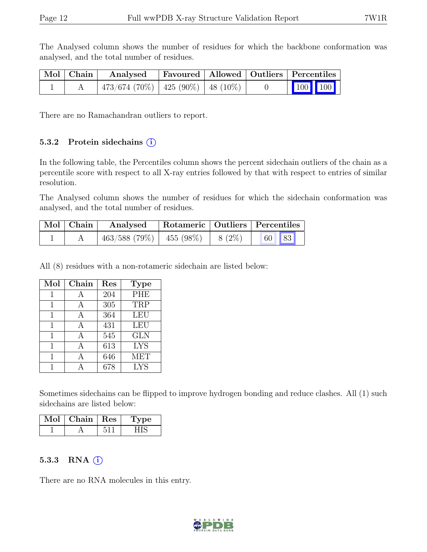The Analysed column shows the number of residues for which the backbone conformation was analysed, and the total number of residues.

| Mol   Chain | Analysed                                    |  | Favoured   Allowed   Outliers   Percentiles |
|-------------|---------------------------------------------|--|---------------------------------------------|
|             | $\mid$ 473/674 (70%)   425 (90%)   48 (10%) |  | $\vert$ 100 100 $\vert$                     |

There are no Ramachandran outliers to report.

#### 5.3.2 Protein sidechains  $(i)$

In the following table, the Percentiles column shows the percent sidechain outliers of the chain as a percentile score with respect to all X-ray entries followed by that with respect to entries of similar resolution.

The Analysed column shows the number of residues for which the sidechain conformation was analysed, and the total number of residues.

| $\mid$ Mol $\mid$ Chain $\mid$ | Analysed                      |          | Rotameric   Outliers   Percentiles |
|--------------------------------|-------------------------------|----------|------------------------------------|
|                                | $463/588$ (79%)   $455$ (98%) | $8(2\%)$ | 60 83                              |

All (8) residues with a non-rotameric sidechain are listed below:

| Mol | Chain | Res | <b>Type</b> |
|-----|-------|-----|-------------|
|     | А     | 204 | PHE         |
|     | А     | 305 | TRP         |
| 1   | A     | 364 | <b>LEU</b>  |
| 1   | А     | 431 | <b>LEU</b>  |
| 1   | А     | 545 | <b>GLN</b>  |
|     | А     | 613 | <b>LYS</b>  |
|     | Д     | 646 | <b>MET</b>  |
|     |       | 678 | <b>LYS</b>  |

Sometimes sidechains can be flipped to improve hydrogen bonding and reduce clashes. All (1) such sidechains are listed below:

| $\mathrm{Mol}\mid\mathrm{Chain}\mid\mathrm{Res}$ | <b>Type</b> |
|--------------------------------------------------|-------------|
|                                                  |             |

#### 5.3.3 RNA  $(i)$

There are no RNA molecules in this entry.

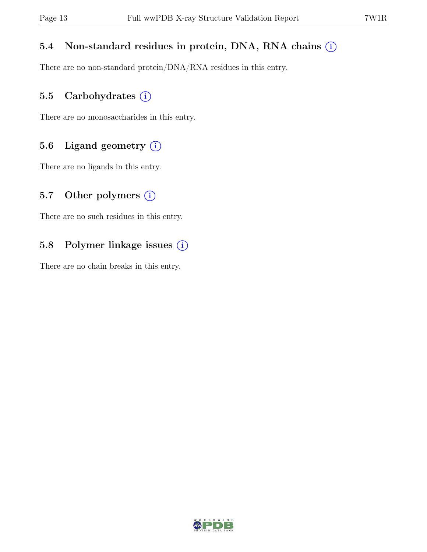### 5.4 Non-standard residues in protein, DNA, RNA chains  $(i)$

There are no non-standard protein/DNA/RNA residues in this entry.

### 5.5 Carbohydrates  $(i)$

There are no monosaccharides in this entry.

### 5.6 Ligand geometry  $(i)$

There are no ligands in this entry.

#### 5.7 Other polymers  $(i)$

There are no such residues in this entry.

### 5.8 Polymer linkage issues (i)

There are no chain breaks in this entry.

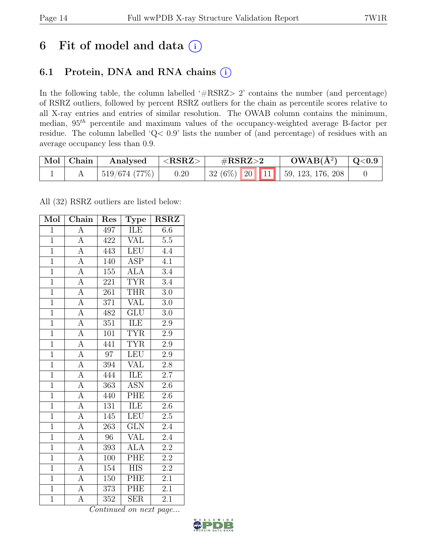# 6 Fit of model and data  $(i)$

### 6.1 Protein, DNA and RNA chains (i)

In the following table, the column labelled ' $\#\text{RSRZ}>2$ ' contains the number (and percentage) of RSRZ outliers, followed by percent RSRZ outliers for the chain as percentile scores relative to all X-ray entries and entries of similar resolution. The OWAB column contains the minimum, median,  $95<sup>th</sup>$  percentile and maximum values of the occupancy-weighted average B-factor per residue. The column labelled 'Q< 0.9' lists the number of (and percentage) of residues with an average occupancy less than 0.9.

| Mol   Chain | Analysed     | ${ <\hspace{-1.5pt} {\rm RSRZ}\hspace{-1.5pt}>}$ | $\rm \#RSRZ{>}2$ |  | $OWAB(A^2)$                       | $\mid \text{Q}<$ $0.9$ |
|-------------|--------------|--------------------------------------------------|------------------|--|-----------------------------------|------------------------|
|             | 519/674(77%) | 0.20                                             |                  |  | $32(6\%)$ 20 11 59, 123, 176, 208 |                        |

All (32) RSRZ outliers are listed below:

| Mol            | $\overline{\text{Chain}}$ | Res              | ${\rm \bar{Type}}$      | <b>RSRZ</b>      |
|----------------|---------------------------|------------------|-------------------------|------------------|
| $\mathbf{1}$   | $\overline{\mathbf{A}}$   | 497              | ILE                     | 6.6              |
| $\overline{1}$ | $\overline{A}$            | 422              | <b>VAL</b>              | $5.5\,$          |
| $\overline{1}$ | $\overline{A}$            | 443              | <b>LEU</b>              | 4.4              |
| $\overline{1}$ | $\overline{A}$            | 140              | ASP                     | $\overline{4.1}$ |
| $\overline{1}$ | $\overline{A}$            | $\overline{155}$ | $\overline{\rm ALA}$    | $\overline{3.4}$ |
| $\overline{1}$ | $\overline{A}$            | 221              | <b>TYR</b>              | $\overline{3.4}$ |
| $\overline{1}$ | $\overline{A}$            | 261              | <b>THR</b>              | $3.0\,$          |
| $\overline{1}$ | $\overline{A}$            | 371              | <b>VAL</b>              | $\overline{3.0}$ |
| $\overline{1}$ | $\overline{A}$            | 482              | $\overline{\text{GLU}}$ | $3.0\,$          |
| $\overline{1}$ | $\overline{A}$            | 351              | ILE                     | $2.9\,$          |
| $\mathbf{1}$   | $\overline{A}$            | 101              | <b>TYR</b>              | $2.9\,$          |
| $\overline{1}$ | $\overline{A}$            | 441              | <b>TYR</b>              | $2.9\,$          |
| $\overline{1}$ | $\overline{\mathbf{A}}$   | $\overline{97}$  | <b>LEU</b>              | 2.9              |
| $\overline{1}$ | $\overline{A}$            | 394              | VAL                     | $\overline{2.8}$ |
| $\overline{1}$ | $\overline{\rm A}$        | 444              | ILE                     | $\overline{2.7}$ |
| $\overline{1}$ | $\overline{A}$            | 363              | <b>ASN</b>              | $2.6\,$          |
| $\overline{1}$ | $\overline{A}$            | 440              | PHE                     | $\overline{2.6}$ |
| $\overline{1}$ | $\overline{A}$            | 131              | ILE                     | $2.6\,$          |
| $\overline{1}$ | $\overline{A}$            | 145              | LEU                     | $2.5\,$          |
| $\overline{1}$ | А                         | 263              | GLN                     | $2.4\,$          |
| $\overline{1}$ | $\overline{A}$            | 96               | <b>VAL</b>              | $2.4\,$          |
| $\overline{1}$ | $\overline{A}$            | 393              | <b>ALA</b>              | $\overline{2.2}$ |
| $\overline{1}$ | А                         | 100              | PHE                     | 2.2              |
| $\overline{1}$ | $\overline{\rm A}$        | 154              | $\overline{\text{HIS}}$ | $\overline{2.2}$ |
| $\overline{1}$ | $\overline{A}$            | 150              | PHE                     | $\overline{2.1}$ |
| $\overline{1}$ | A                         | 373              | PHE                     | 2.1              |
| $\overline{1}$ | $\overline{\rm A}$        | $\overline{352}$ | $\overline{\text{SER}}$ | $\overline{2.1}$ |